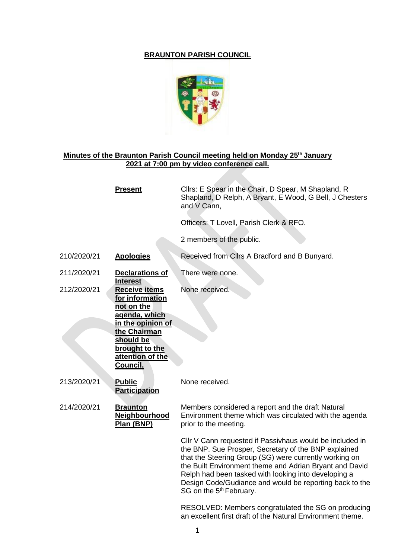## **BRAUNTON PARISH COUNCIL**



## **Minutes of the Braunton Parish Council meeting held on Monday 25th January 2021 at 7:00 pm by video conference call.**

|             | <b>Present</b>                                                                                                                                                                    | Cllrs: E Spear in the Chair, D Spear, M Shapland, R<br>Shapland, D Relph, A Bryant, E Wood, G Bell, J Chesters<br>and V Cann,                                                                                                                                                                                                                                                                   |
|-------------|-----------------------------------------------------------------------------------------------------------------------------------------------------------------------------------|-------------------------------------------------------------------------------------------------------------------------------------------------------------------------------------------------------------------------------------------------------------------------------------------------------------------------------------------------------------------------------------------------|
|             |                                                                                                                                                                                   | Officers: T Lovell, Parish Clerk & RFO.                                                                                                                                                                                                                                                                                                                                                         |
|             |                                                                                                                                                                                   | 2 members of the public.                                                                                                                                                                                                                                                                                                                                                                        |
| 210/2020/21 | <b>Apologies</b>                                                                                                                                                                  | Received from Cllrs A Bradford and B Bunyard.                                                                                                                                                                                                                                                                                                                                                   |
| 211/2020/21 | <b>Declarations of</b><br><b>Interest</b>                                                                                                                                         | There were none.                                                                                                                                                                                                                                                                                                                                                                                |
| 212/2020/21 | <b>Receive items</b><br>for information<br>not on the<br>agenda, which<br>in the opinion of<br>the Chairman<br>should be<br>brought to the<br>attention of the<br><b>Council.</b> | None received.                                                                                                                                                                                                                                                                                                                                                                                  |
| 213/2020/21 | <b>Public</b><br><b>Participation</b>                                                                                                                                             | None received.                                                                                                                                                                                                                                                                                                                                                                                  |
| 214/2020/21 | <b>Braunton</b><br><b>Neighbourhood</b><br>Plan (BNP)                                                                                                                             | Members considered a report and the draft Natural<br>Environment theme which was circulated with the agenda<br>prior to the meeting.                                                                                                                                                                                                                                                            |
|             |                                                                                                                                                                                   | Cllr V Cann requested if Passivhaus would be included in<br>the BNP. Sue Prosper, Secretary of the BNP explained<br>that the Steering Group (SG) were currently working on<br>the Built Environment theme and Adrian Bryant and David<br>Relph had been tasked with looking into developing a<br>Design Code/Gudiance and would be reporting back to the<br>SG on the 5 <sup>th</sup> February. |
|             |                                                                                                                                                                                   | RESOLVED: Members congratulated the SG on producing                                                                                                                                                                                                                                                                                                                                             |

an excellent first draft of the Natural Environment theme.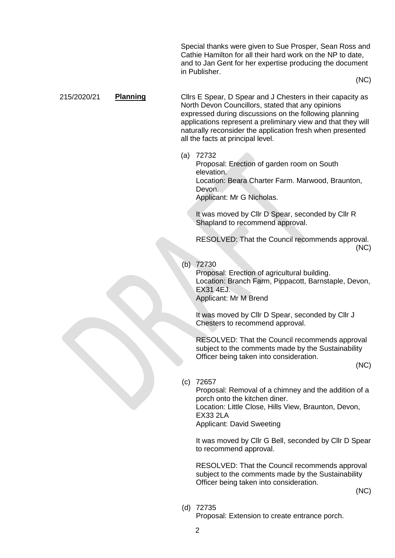Special thanks were given to Sue Prosper, Sean Ross and Cathie Hamilton for all their hard work on the NP to date, and to Jan Gent for her expertise producing the document in Publisher.

(NC)

## 215/2020/21 **Planning** Cllrs E Spear, D Spear and J Chesters in their capacity as North Devon Councillors, stated that any opinions expressed during discussions on the following planning applications represent a preliminary view and that they will naturally reconsider the application fresh when presented all the facts at principal level.

(a) 72732

Proposal: Erection of garden room on South elevation. Location: Beara Charter Farm. Marwood, Braunton, Devon.

Applicant: Mr G Nicholas.

It was moved by Cllr D Spear, seconded by Cllr R Shapland to recommend approval.

RESOLVED: That the Council recommends approval. (NC)

## (b) 72730

Proposal: Erection of agricultural building. Location: Branch Farm, Pippacott, Barnstaple, Devon, EX31 4EJ. Applicant: Mr M Brend

It was moved by Cllr D Spear, seconded by Cllr J Chesters to recommend approval.

RESOLVED: That the Council recommends approval subject to the comments made by the Sustainability Officer being taken into consideration.

(NC)

(c) 72657

Proposal: Removal of a chimney and the addition of a porch onto the kitchen diner.

Location: Little Close, Hills View, Braunton, Devon, EX33 2LA

Applicant: David Sweeting

It was moved by Cllr G Bell, seconded by Cllr D Spear to recommend approval.

RESOLVED: That the Council recommends approval subject to the comments made by the Sustainability Officer being taken into consideration.

(NC)

(d) 72735

Proposal: Extension to create entrance porch.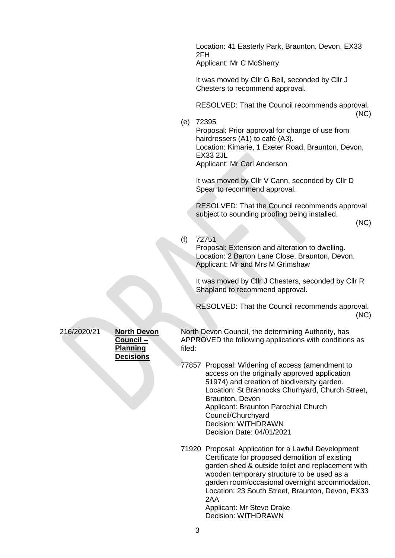Location: 41 Easterly Park, Braunton, Devon, EX33 2FH Applicant: Mr C McSherry

It was moved by Cllr G Bell, seconded by Cllr J Chesters to recommend approval.

RESOLVED: That the Council recommends approval. (NC)

(e) 72395

Proposal: Prior approval for change of use from hairdressers (A1) to café (A3). Location: Kimarie, 1 Exeter Road, Braunton, Devon, EX33 2JL Applicant: Mr Carl Anderson

It was moved by Cllr V Cann, seconded by Cllr D Spear to recommend approval.

RESOLVED: That the Council recommends approval subject to sounding proofing being installed.

(NC)

(f) 72751

Proposal: Extension and alteration to dwelling. Location: 2 Barton Lane Close, Braunton, Devon. Applicant: Mr and Mrs M Grimshaw

It was moved by Cllr J Chesters, seconded by Cllr R Shapland to recommend approval.

RESOLVED: That the Council recommends approval. (NC)

216/2020/21 **North Devon** 

**Council – Planning Decisions** North Devon Council, the determining Authority, has APPROVED the following applications with conditions as filed:

77857 Proposal: Widening of access (amendment to access on the originally approved application 51974) and creation of biodiversity garden. Location: St Brannocks Churhyard, Church Street, Braunton, Devon Applicant: Braunton Parochial Church Council/Churchyard Decision: WITHDRAWN Decision Date: 04/01/2021

71920 Proposal: Application for a Lawful Development Certificate for proposed demolition of existing garden shed & outside toilet and replacement with wooden temporary structure to be used as a garden room/occasional overnight accommodation. Location: 23 South Street, Braunton, Devon, EX33 2AA Applicant: Mr Steve Drake

Decision: WITHDRAWN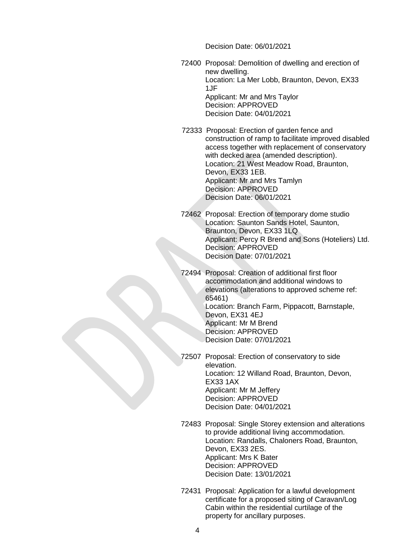Decision Date: 06/01/2021

- 72400 Proposal: Demolition of dwelling and erection of new dwelling. Location: La Mer Lobb, Braunton, Devon, EX33 1JF Applicant: Mr and Mrs Taylor Decision: APPROVED Decision Date: 04/01/2021
- 72333 Proposal: Erection of garden fence and construction of ramp to facilitate improved disabled access together with replacement of conservatory with decked area (amended description). Location: 21 West Meadow Road, Braunton, Devon, EX33 1EB. Applicant: Mr and Mrs Tamlyn Decision: APPROVED Decision Date: 06/01/2021
- 72462 Proposal: Erection of temporary dome studio Location: Saunton Sands Hotel, Saunton, Braunton, Devon, EX33 1LQ Applicant: Percy R Brend and Sons (Hoteliers) Ltd. Decision: APPROVED Decision Date: 07/01/2021
- 72494 Proposal: Creation of additional first floor accommodation and additional windows to elevations (alterations to approved scheme ref: 65461) Location: Branch Farm, Pippacott, Barnstaple, Devon, EX31 4EJ Applicant: Mr M Brend Decision: APPROVED Decision Date: 07/01/2021
- 72507 Proposal: Erection of conservatory to side elevation. Location: 12 Willand Road, Braunton, Devon, EX33 1AX Applicant: Mr M Jeffery Decision: APPROVED Decision Date: 04/01/2021
- 72483 Proposal: Single Storey extension and alterations to provide additional living accommodation. Location: Randalls, Chaloners Road, Braunton, Devon, EX33 2ES. Applicant: Mrs K Bater Decision: APPROVED Decision Date: 13/01/2021
- 72431 Proposal: Application for a lawful development certificate for a proposed siting of Caravan/Log Cabin within the residential curtilage of the property for ancillary purposes.